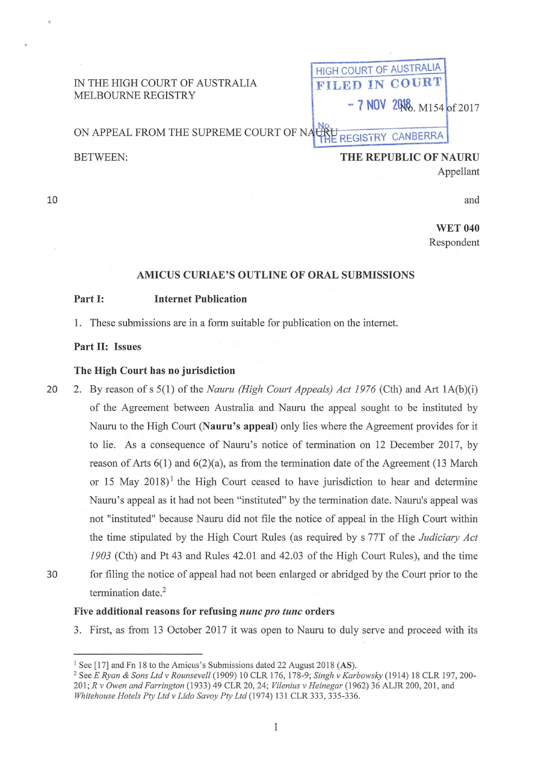| IN THE HIGH COURT OF AUSTRALIA<br>MELBOURNE REGISTRY | COURT OF AUSTRALIA          |
|------------------------------------------------------|-----------------------------|
|                                                      | FILED IN COURT.             |
|                                                      | $-7$ NOV 2006, M154 of 2017 |
| ON APPEAL FROM THE SUPREME COURT OF NAURU            | REGISTRY CANBERRA           |
| BETWEEN:                                             | THE REPUBLIC OF NAURU       |

10

and

**WET 040** Respondent

Appellant

# **AMICUS CURIAE'S OUTLINE OF ORAL SUBMISSIONS**

### **Part I: Internet Publication**

**1.** These submissions are in a form suitable for publication on the internet.

# **Part II: Issues**

#### **The High Court has no jurisdiction**

20 2. By reason of s 5(1) of the *Nauru (High Court Appeals) Act 1976* (Cth) and Art 1A(b)(i) of the Agreement between Australia and Nauru the appeal sought to be instituted by Nauru to the High Court **(Nauru's appeal)** only lies where the Agreement provides for it to lie. As a consequence of Nauru's notice of termination on 12 December 2017, by reason of Arts  $6(1)$  and  $6(2)(a)$ , as from the termination date of the Agreement (13 March or 15 May  $2018$ <sup>1</sup> the High Court ceased to have jurisdiction to hear and determine Nauru's appeal as it had not been "instituted" by the termination date. Nauru's appeal was not "instituted" because Nauru did not file the notice of appeal in the High Court within the time stipulated by the High Court Rules (as required by s 77T of the *Judiciary Act 1903* (Cth) and Pt 43 and Rules 42.01 and 42.03 of the High Court Rules), and the time 30 for filing the notice of appeal had not been enlarged or abridged by the Court prior to the termination date.<sup>2</sup>

### **Five additional reasons for refusing** *nunc pro tunc* **orders**

3. First, as from 13 October 2017 it was open to Nauru to duly serve and proceed with its

<sup>&</sup>lt;sup>1</sup> See [17] and Fn 18 to the Amicus's Submissions dated 22 August 2018 (AS).<br><sup>2</sup> See *E Ryan & Sons Ltd v Rounsevell* (1909) 10 CLR 176, 178-9; *Singh v Karbowsky* (1914) 18 CLR 197, 200-201; *R v Owen and Farrington* (1933) 49 CLR 20, 24; *Vilenius v Heinegar* (1962) 36 ALJR 200, 201, and *Whitehouse Hotels Pty Ltd v Lido Savoy Pty Ltd* (1974) 131 CLR 333, 335-336.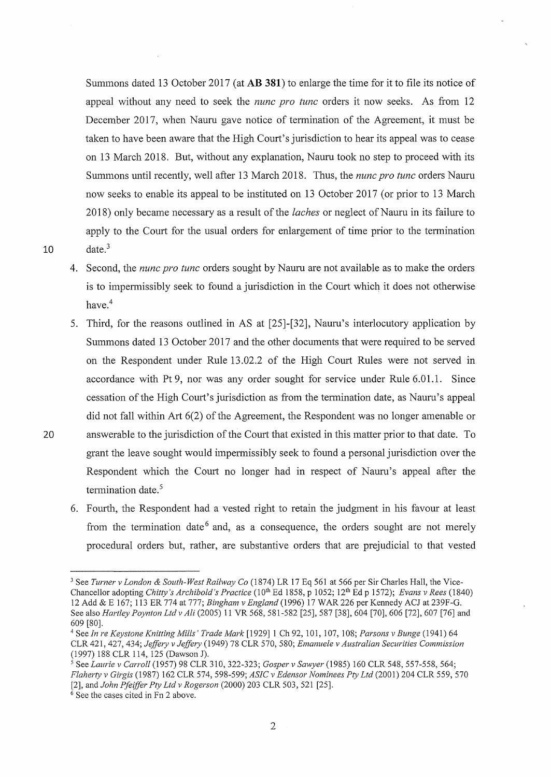Summons dated 13 October 2017 (at AB **381)** to enlarge the time for it to file its notice of appeal without any need to seek the *nunc pro tunc* orders it now seeks. As from 12 December 2017, when Naum gave notice of termination of the Agreement, it must be taken to have been aware that the High Court's jurisdiction to hear its appeal was to cease on 13 March 2018. But, without any explanation, Naum took no step to proceed with its Summons until recently, well after 13 March 2018. Thus, the *nunc pro tunc* orders Naum now seeks to enable its appeal to be instituted on 13 October 2017 (or prior to 13 March 2018) only became necessary as a result of the *laches* or neglect of Nauru in its failure to apply to the Court for the usual orders for enlargement of time prior to the termination  $10$  date.<sup>3</sup>

- 4. Second, the *nunc pro tunc* orders sought by Naum are not available as to make the orders is to impermissibly seek to found a jurisdiction in the Court which it does not otherwise have.<sup>4</sup>
- 5. Third, for the reasons outlined in AS at [25]-[32], Naum's interlocutory application by Summons dated 13 October 2017 and the other documents that were required to be served on the Respondent under Rule 13.02.2 of the High Court Rules were not served in accordance with Pt 9, nor was any order sought for service under Rule 6.01.1. Since cessation of the High Court's jurisdiction as from the termination date, as Naum's appeal did not fall within Art 6(2) of the Agreement, the Respondent was no longer amenable or 20 answerable to the jurisdiction of the Court that existed in this matter prior to that date. To grant the leave sought would impermissibly seek to found a personal jurisdiction over the Respondent which the Court no longer had in respect of Naum's appeal after the termination date. $5$ 
	- 6. Fourth, the Respondent had a vested right to retain the judgment in his favour at least from the termination date  $6$  and, as a consequence, the orders sought are not merely procedural orders but, rather, are substantive orders that are prejudicial to that vested

<sup>3</sup> See *Turner v London* & *South-West Railway Co* (1874) LR 17 Eq 561 at 566 per Sir Charles Hall, the Vice-Chancellor adopting *Chitty's Archibold's Practice* (10<sup>th</sup> Ed 1858, p 1052; 12<sup>th</sup> Ed p 1572); *Evans v Rees* (1840) 12 Add & E 167; 113 ER 774 at 777; *Bingham v England* (1996) 17 WAR 226 per Kennedy ACJ at 239F-G. See also *Hartley Poynton Ltd v Ali* (2005) 11 VR 568, 581-582 [25], 587 [38], 604 [70], 606 [72], 607 [76] and

<sup>609 [80]. 4</sup> See *In re Keystone Knitting Mills' Trade Mark* [1929] 1 Ch 92, 101, 107, 108; *Parsons v Bunge* (1941) 64 CLR 421,427, 434; *Jeffery v Jeffery* (1949) 78 CLR 570, 580; *Emanuele v Australian Securities Commission*  (1997) 188 CLR 114, 125 (Dawson J).<br><sup>5</sup> See *Laurie v Carroll* (1957) 98 CLR 310, 322-323; *Gosper v Sawyer* (1985) 160 CLR 548, 557-558, 564;

*Flaherty v Girgis* (1987) 162 CLR 574, 598-599; *ASIC v Edensor Nominees Pty Ltd* (2001) 204 CLR 559, 570 [2], and *John Pfeiffer Pty Ltd v Rogerson* (2000) 203 CLR 503, 521 [25]. <sup>6</sup> See the cases cited in Fn 2 above.